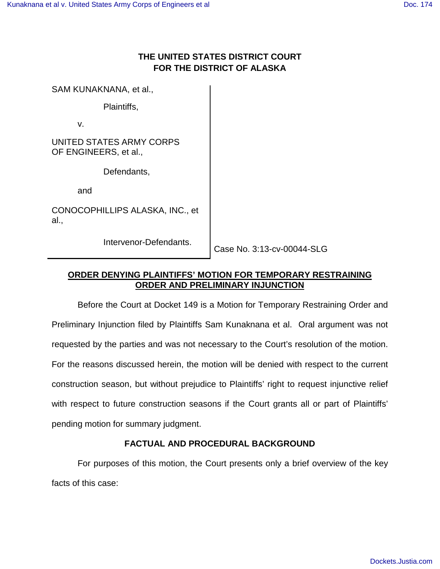# **THE UNITED STATES DISTRICT COURT FOR THE DISTRICT OF ALASKA**

SAM KUNAKNANA, et al.,

Plaintiffs,

v.

UNITED STATES ARMY CORPS OF ENGINEERS, et al.,

Defendants,

and

CONOCOPHILLIPS ALASKA, INC., et al.,

Intervenor-Defendants.

Case No. 3:13-cv-00044-SLG

## **ORDER DENYING PLAINTIFFS' MOTION FOR TEMPORARY RESTRAINING ORDER AND PRELIMINARY INJUNCTION**

Before the Court at Docket 149 is a Motion for Temporary Restraining Order and Preliminary Injunction filed by Plaintiffs Sam Kunaknana et al. Oral argument was not requested by the parties and was not necessary to the Court's resolution of the motion. For the reasons discussed herein, the motion will be denied with respect to the current construction season, but without prejudice to Plaintiffs' right to request injunctive relief with respect to future construction seasons if the Court grants all or part of Plaintiffs' pending motion for summary judgment.

# **FACTUAL AND PROCEDURAL BACKGROUND**

For purposes of this motion, the Court presents only a brief overview of the key facts of this case: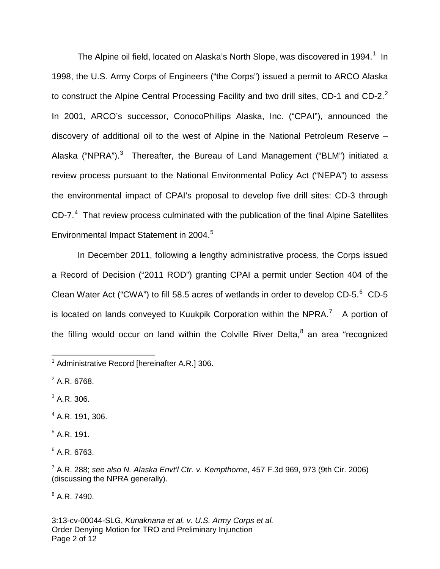The Alpine oil field, located on Alaska's North Slope, was discovered in [1](#page-1-0)994.<sup>1</sup> In 1998, the U.S. Army Corps of Engineers ("the Corps") issued a permit to ARCO Alaska to construct the Alpine Central Processing Facility and two drill sites, CD-1 and CD-[2](#page-1-1). $^2$ In 2001, ARCO's successor, ConocoPhillips Alaska, Inc. ("CPAI"), announced the discovery of additional oil to the west of Alpine in the National Petroleum Reserve – Alaska ("NPRA").<sup>[3](#page-1-2)</sup> Thereafter, the Bureau of Land Management ("BLM") initiated a review process pursuant to the National Environmental Policy Act ("NEPA") to assess the environmental impact of CPAI's proposal to develop five drill sites: CD-3 through  $CD-7.<sup>4</sup>$  $CD-7.<sup>4</sup>$  $CD-7.<sup>4</sup>$  That review process culminated with the publication of the final Alpine Satellites Environmental Impact Statement in 2004.<sup>[5](#page-1-4)</sup>

In December 2011, following a lengthy administrative process, the Corps issued a Record of Decision ("2011 ROD") granting CPAI a permit under Section 404 of the Clean Water Act ("CWA") to fill 58.5 acres of wetlands in order to develop CD-5. $^6$  $^6$  CD-5 is located on lands conveyed to Kuukpik Corporation within the NPRA.<sup>[7](#page-1-6)</sup> A portion of the filling would occur on land within the Colville River Delta,<sup>[8](#page-1-7)</sup> an area "recognized

<span id="page-1-1"></span> $2$  A.R. 6768.

1

<span id="page-1-2"></span> $3^3$  A.R. 306.

<span id="page-1-3"></span> $4$  A.R. 191, 306.

<span id="page-1-4"></span> $<sup>5</sup>$  A.R. 191.</sup>

<span id="page-1-5"></span> $6$  A.R. 6763.

<span id="page-1-6"></span> $^7$  A.R. 288; see also N. Alaska Envt'l Ctr. v. Kempthorne, 457 F.3d 969, 973 (9th Cir. 2006) (discussing the NPRA generally).

<span id="page-1-7"></span> $8$  A.R. 7490.

3:13-cv-00044-SLG, Kunaknana et al. v. U.S. Army Corps et al. Order Denying Motion for TRO and Preliminary Injunction Page 2 of 12

<span id="page-1-0"></span><sup>&</sup>lt;sup>1</sup> Administrative Record [hereinafter A.R.] 306.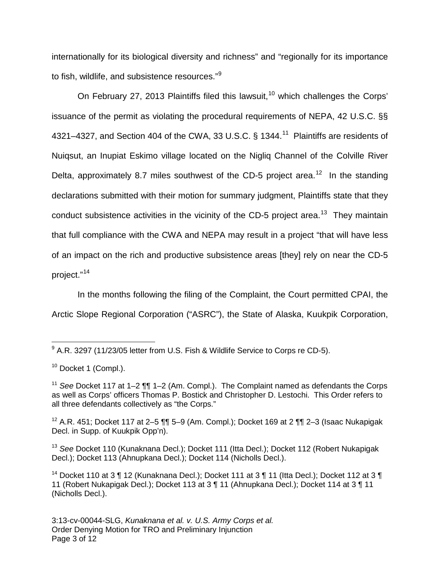internationally for its biological diversity and richness" and "regionally for its importance to fish, wildlife, and subsistence resources."<sup>[9](#page-2-0)</sup>

On February 27, 2013 Plaintiffs filed this lawsuit,<sup>[10](#page-2-1)</sup> which challenges the Corps' issuance of the permit as violating the procedural requirements of NEPA, 42 U.S.C. §§ 4321–4327, and Section 404 of the CWA, 33 U.S.C.  $\S$  1344.<sup>[11](#page-2-2)</sup> Plaintiffs are residents of Nuiqsut, an Inupiat Eskimo village located on the Nigliq Channel of the Colville River Delta, approximately 8.7 miles southwest of the CD-5 project area.<sup>[12](#page-2-3)</sup> In the standing declarations submitted with their motion for summary judgment, Plaintiffs state that they conduct subsistence activities in the vicinity of the CD-5 project area.<sup>[13](#page-2-4)</sup> They maintain that full compliance with the CWA and NEPA may result in a project "that will have less of an impact on the rich and productive subsistence areas [they] rely on near the CD-5 project."<sup>[14](#page-2-5)</sup>

In the months following the filing of the Complaint, the Court permitted CPAI, the Arctic Slope Regional Corporation ("ASRC"), the State of Alaska, Kuukpik Corporation,

<span id="page-2-0"></span> $9$  A.R. 3297 (11/23/05 letter from U.S. Fish & Wildlife Service to Corps re CD-5). 1

<span id="page-2-1"></span> $10$  Docket 1 (Compl.).

<span id="page-2-2"></span><sup>&</sup>lt;sup>11</sup> See Docket 117 at 1–2  $\P\P$  1–2 (Am. Compl.). The Complaint named as defendants the Corps as well as Corps' officers Thomas P. Bostick and Christopher D. Lestochi. This Order refers to all three defendants collectively as "the Corps."

<span id="page-2-3"></span><sup>&</sup>lt;sup>12</sup> A.R. 451; Docket 117 at 2–5 ¶¶ 5–9 (Am. Compl.); Docket 169 at 2 ¶¶ 2–3 (Isaac Nukapigak Decl. in Supp. of Kuukpik Opp'n).

<span id="page-2-4"></span><sup>&</sup>lt;sup>13</sup> See Docket 110 (Kunaknana Decl.); Docket 111 (Itta Decl.); Docket 112 (Robert Nukapigak Decl.); Docket 113 (Ahnupkana Decl.); Docket 114 (Nicholls Decl.).

<span id="page-2-5"></span><sup>&</sup>lt;sup>14</sup> Docket 110 at 3  $\P$  12 (Kunaknana Decl.); Docket 111 at 3  $\P$  11 (Itta Decl.); Docket 112 at 3  $\P$ 11 (Robert Nukapigak Decl.); Docket 113 at 3 ¶ 11 (Ahnupkana Decl.); Docket 114 at 3 ¶ 11 (Nicholls Decl.).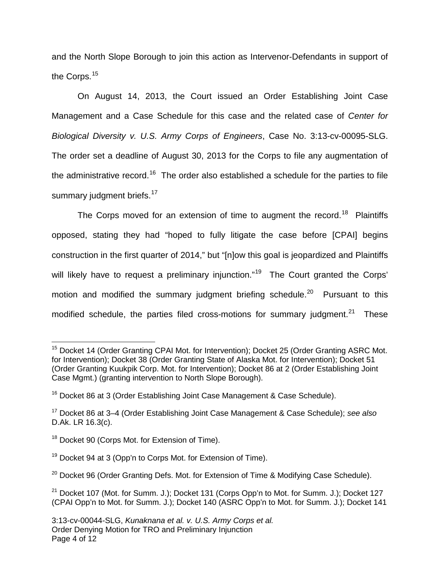and the North Slope Borough to join this action as Intervenor-Defendants in support of the Corps.<sup>[15](#page-3-0)</sup>

On August 14, 2013, the Court issued an Order Establishing Joint Case Management and a Case Schedule for this case and the related case of Center for Biological Diversity v. U.S. Army Corps of Engineers, Case No. 3:13-cv-00095-SLG. The order set a deadline of August 30, 2013 for the Corps to file any augmentation of the administrative record.<sup>[16](#page-3-1)</sup> The order also established a schedule for the parties to file summary judgment briefs.<sup>[17](#page-3-2)</sup>

The Corps moved for an extension of time to augment the record.<sup>[18](#page-3-3)</sup> Plaintiffs opposed, stating they had "hoped to fully litigate the case before [CPAI] begins construction in the first quarter of 2014," but "[n]ow this goal is jeopardized and Plaintiffs will likely have to request a preliminary injunction."<sup>[19](#page-3-4)</sup> The Court granted the Corps' motion and modified the summary judgment briefing schedule.<sup>[20](#page-3-5)</sup> Pursuant to this modified schedule, the parties filed cross-motions for summary judgment. $^{21}$  $^{21}$  $^{21}$  These

 $\overline{a}$ 

<span id="page-3-0"></span><sup>&</sup>lt;sup>15</sup> Docket 14 (Order Granting CPAI Mot. for Intervention); Docket 25 (Order Granting ASRC Mot. for Intervention); Docket 38 (Order Granting State of Alaska Mot. for Intervention); Docket 51 (Order Granting Kuukpik Corp. Mot. for Intervention); Docket 86 at 2 (Order Establishing Joint Case Mgmt.) (granting intervention to North Slope Borough).

<span id="page-3-1"></span><sup>&</sup>lt;sup>16</sup> Docket 86 at 3 (Order Establishing Joint Case Management & Case Schedule).

<span id="page-3-2"></span><sup>&</sup>lt;sup>17</sup> Docket 86 at 3-4 (Order Establishing Joint Case Management & Case Schedule); see also D.Ak. LR 16.3(c).

<span id="page-3-3"></span><sup>&</sup>lt;sup>18</sup> Docket 90 (Corps Mot. for Extension of Time).

<span id="page-3-4"></span> $19$  Docket 94 at 3 (Opp'n to Corps Mot. for Extension of Time).

<span id="page-3-5"></span> $20$  Docket 96 (Order Granting Defs. Mot. for Extension of Time & Modifying Case Schedule).

<span id="page-3-6"></span> $21$  Docket 107 (Mot. for Summ. J.); Docket 131 (Corps Opp'n to Mot. for Summ. J.); Docket 127 (CPAI Opp'n to Mot. for Summ. J.); Docket 140 (ASRC Opp'n to Mot. for Summ. J.); Docket 141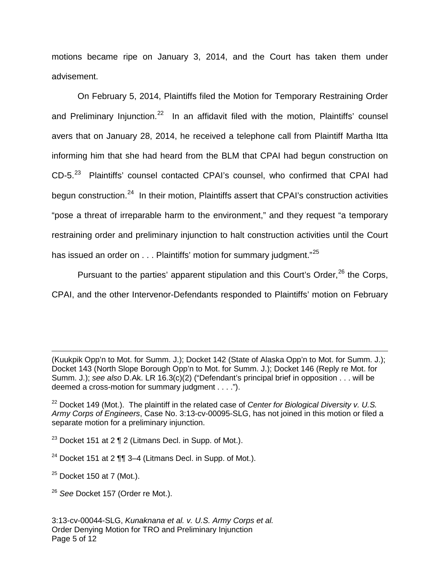motions became ripe on January 3, 2014, and the Court has taken them under advisement.

On February 5, 2014, Plaintiffs filed the Motion for Temporary Restraining Order and Preliminary Injunction.<sup>[22](#page-4-0)</sup> In an affidavit filed with the motion, Plaintiffs' counsel avers that on January 28, 2014, he received a telephone call from Plaintiff Martha Itta informing him that she had heard from the BLM that CPAI had begun construction on CD-5.<sup>[23](#page-4-1)</sup> Plaintiffs' counsel contacted CPAI's counsel, who confirmed that CPAI had begun construction.<sup>[24](#page-4-2)</sup> In their motion, Plaintiffs assert that CPAI's construction activities "pose a threat of irreparable harm to the environment," and they request "a temporary restraining order and preliminary injunction to halt construction activities until the Court has issued an order on . . . Plaintiffs' motion for summary judgment."<sup>[25](#page-4-3)</sup>

Pursuant to the parties' apparent stipulation and this Court's Order,  $26$  the Corps, CPAI, and the other Intervenor-Defendants responded to Plaintiffs' motion on February

(Kuukpik Opp'n to Mot. for Summ. J.); Docket 142 (State of Alaska Opp'n to Mot. for Summ. J.); Docket 143 (North Slope Borough Opp'n to Mot. for Summ. J.); Docket 146 (Reply re Mot. for Summ. J.); see also D.Ak. LR 16.3(c)(2) ("Defendant's principal brief in opposition . . . will be deemed a cross-motion for summary judgment . . . .").

- <span id="page-4-1"></span><sup>23</sup> Docket 151 at 2  $\P$  2 (Litmans Decl. in Supp. of Mot.).
- <span id="page-4-2"></span><sup>24</sup> Docket 151 at 2  $\P$ , 3–4 (Litmans Decl. in Supp. of Mot.).
- <span id="page-4-3"></span> $25$  Docket 150 at 7 (Mot.).

1

<span id="page-4-4"></span><sup>26</sup> See Docket 157 (Order re Mot.).

<span id="page-4-0"></span> $22$  Docket 149 (Mot.). The plaintiff in the related case of Center for Biological Diversity v. U.S. Army Corps of Engineers, Case No. 3:13-cv-00095-SLG, has not joined in this motion or filed a separate motion for a preliminary injunction.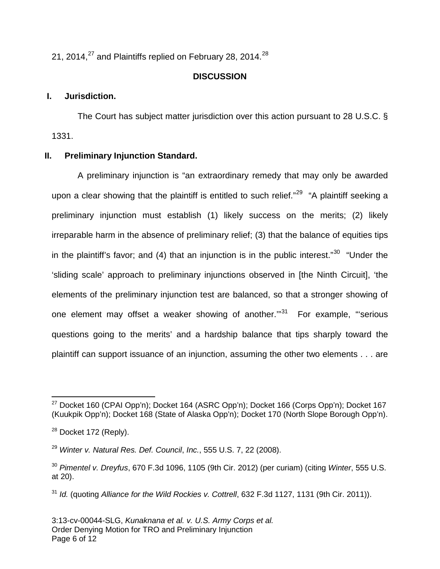21, 2014, $^{27}$  $^{27}$  $^{27}$  and Plaintiffs replied on February [28](#page-5-1), 2014. $^{28}$ 

# **DISCUSSION**

# **I. Jurisdiction.**

The Court has subject matter jurisdiction over this action pursuant to 28 U.S.C. § 1331.

# **II. Preliminary Injunction Standard.**

A preliminary injunction is "an extraordinary remedy that may only be awarded upon a clear showing that the plaintiff is entitled to such relief."<sup>[29](#page-5-2)</sup> "A plaintiff seeking a preliminary injunction must establish (1) likely success on the merits; (2) likely irreparable harm in the absence of preliminary relief; (3) that the balance of equities tips in the plaintiff's favor; and (4) that an injunction is in the public interest."<sup>[30](#page-5-3)</sup> "Under the 'sliding scale' approach to preliminary injunctions observed in [the Ninth Circuit], 'the elements of the preliminary injunction test are balanced, so that a stronger showing of one element may offset a weaker showing of another."<sup>[31](#page-5-4)</sup> For example, "serious questions going to the merits' and a hardship balance that tips sharply toward the plaintiff can support issuance of an injunction, assuming the other two elements . . . are

<span id="page-5-0"></span> $^{27}$  Docket 160 (CPAI Opp'n); Docket 164 (ASRC Opp'n); Docket 166 (Corps Opp'n); Docket 167 (Kuukpik Opp'n); Docket 168 (State of Alaska Opp'n); Docket 170 (North Slope Borough Opp'n).  $\overline{a}$ 

<span id="page-5-1"></span> $28$  Docket 172 (Reply).

<span id="page-5-2"></span> $^{29}$  Winter v. Natural Res. Def. Council, Inc., 555 U.S. 7, 22 (2008).

<span id="page-5-3"></span> $30$  Pimentel v. Dreyfus, 670 F.3d 1096, 1105 (9th Cir. 2012) (per curiam) (citing Winter, 555 U.S. at 20).

<span id="page-5-4"></span> $31$  Id. (quoting Alliance for the Wild Rockies v. Cottrell, 632 F.3d 1127, 1131 (9th Cir. 2011)).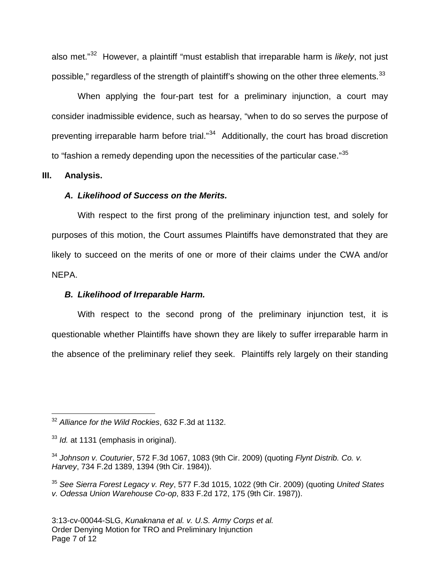also met."<sup>[32](#page-6-0)</sup> However, a plaintiff "must establish that irreparable harm is likely, not just possible," regardless of the strength of plaintiff's showing on the other three elements.<sup>[33](#page-6-1)</sup>

When applying the four-part test for a preliminary injunction, a court may consider inadmissible evidence, such as hearsay, "when to do so serves the purpose of preventing irreparable harm before trial."<sup>[34](#page-6-2)</sup> Additionally, the court has broad discretion to "fashion a remedy depending upon the necessities of the particular case." $35$ 

#### **III. Analysis.**

### **A. Likelihood of Success on the Merits.**

With respect to the first prong of the preliminary injunction test, and solely for purposes of this motion, the Court assumes Plaintiffs have demonstrated that they are likely to succeed on the merits of one or more of their claims under the CWA and/or NEPA.

### **B. Likelihood of Irreparable Harm.**

With respect to the second prong of the preliminary injunction test, it is questionable whether Plaintiffs have shown they are likely to suffer irreparable harm in the absence of the preliminary relief they seek. Plaintiffs rely largely on their standing

<span id="page-6-0"></span> $32$  Alliance for the Wild Rockies, 632 F.3d at 1132. 1

<span id="page-6-1"></span> $33$  *ld.* at 1131 (emphasis in original).

<span id="page-6-2"></span><sup>&</sup>lt;sup>34</sup> Johnson v. Couturier, 572 F.3d 1067, 1083 (9th Cir. 2009) (quoting Flynt Distrib. Co. v. Harvey, 734 F.2d 1389, 1394 (9th Cir. 1984)).

<span id="page-6-3"></span> $35$  See Sierra Forest Legacy v. Rey, 577 F.3d 1015, 1022 (9th Cir. 2009) (quoting United States v. Odessa Union Warehouse Co-op, 833 F.2d 172, 175 (9th Cir. 1987)).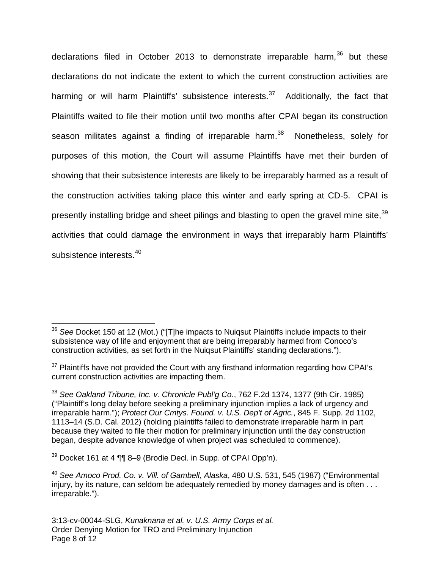declarations filed in October 2013 to demonstrate irreparable harm, $36$  but these declarations do not indicate the extent to which the current construction activities are harming or will harm Plaintiffs' subsistence interests.<sup>[37](#page-7-1)</sup> Additionally, the fact that Plaintiffs waited to file their motion until two months after CPAI began its construction season militates against a finding of irreparable harm.<sup>[38](#page-7-2)</sup> Nonetheless, solely for purposes of this motion, the Court will assume Plaintiffs have met their burden of showing that their subsistence interests are likely to be irreparably harmed as a result of the construction activities taking place this winter and early spring at CD-5. CPAI is presently installing bridge and sheet pilings and blasting to open the gravel mine site,<sup>[39](#page-7-3)</sup> activities that could damage the environment in ways that irreparably harm Plaintiffs' subsistence interests.<sup>[40](#page-7-4)</sup>

1

<span id="page-7-0"></span> $36$  See Docket 150 at 12 (Mot.) ("[T]he impacts to Nuiqsut Plaintiffs include impacts to their subsistence way of life and enjoyment that are being irreparably harmed from Conoco's construction activities, as set forth in the Nuiqsut Plaintiffs' standing declarations.").

<span id="page-7-1"></span> $37$  Plaintiffs have not provided the Court with any firsthand information regarding how CPAI's current construction activities are impacting them.

<span id="page-7-2"></span> $38$  See Oakland Tribune, Inc. v. Chronicle Publ'g Co., 762 F.2d 1374, 1377 (9th Cir. 1985) ("Plaintiff's long delay before seeking a preliminary injunction implies a lack of urgency and irreparable harm."); Protect Our Cmtys. Found. v. U.S. Dep't of Agric., 845 F. Supp. 2d 1102, 1113–14 (S.D. Cal. 2012) (holding plaintiffs failed to demonstrate irreparable harm in part because they waited to file their motion for preliminary injunction until the day construction began, despite advance knowledge of when project was scheduled to commence).

<span id="page-7-3"></span><sup>39</sup> Docket 161 at 4 ¶¶ 8–9 (Brodie Decl. in Supp. of CPAI Opp'n).

<span id="page-7-4"></span><sup>&</sup>lt;sup>40</sup> See Amoco Prod. Co. v. Vill. of Gambell, Alaska, 480 U.S. 531, 545 (1987) ("Environmental injury, by its nature, can seldom be adequately remedied by money damages and is often . . . irreparable.").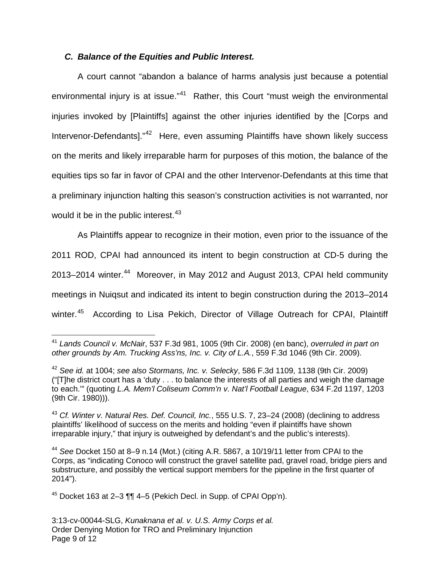## **C. Balance of the Equities and Public Interest.**

A court cannot "abandon a balance of harms analysis just because a potential environmental injury is at issue."<sup>[41](#page-8-0)</sup> Rather, this Court "must weigh the environmental injuries invoked by [Plaintiffs] against the other injuries identified by the [Corps and Intervenor-Defendants]."<sup>[42](#page-8-1)</sup> Here, even assuming Plaintiffs have shown likely success on the merits and likely irreparable harm for purposes of this motion, the balance of the equities tips so far in favor of CPAI and the other Intervenor-Defendants at this time that a preliminary injunction halting this season's construction activities is not warranted, nor would it be in the public interest. $43$ 

As Plaintiffs appear to recognize in their motion, even prior to the issuance of the 2011 ROD, CPAI had announced its intent to begin construction at CD-5 during the 2013–2014 winter.<sup>[44](#page-8-3)</sup> Moreover, in May 2012 and August 2013, CPAI held community meetings in Nuiqsut and indicated its intent to begin construction during the 2013–2014 winter.<sup>[45](#page-8-4)</sup> According to Lisa Pekich, Director of Village Outreach for CPAI, Plaintiff

<span id="page-8-4"></span> $45$  Docket 163 at 2–3  $\P$ , 4–5 (Pekich Decl. in Supp. of CPAI Opp'n).

<span id="page-8-0"></span><sup>&</sup>lt;sup>41</sup> Lands Council v. McNair, 537 F.3d 981, 1005 (9th Cir. 2008) (en banc), overruled in part on other grounds by Am. Trucking Ass'ns, Inc. v. City of L.A., 559 F.3d 1046 (9th Cir. 2009). 1

<span id="page-8-1"></span> $42$  See id. at 1004; see also Stormans, Inc. v. Selecky, 586 F.3d 1109, 1138 (9th Cir. 2009) ("[T]he district court has a 'duty . . . to balance the interests of all parties and weigh the damage to each."" (quoting L.A. Mem'l Coliseum Comm'n v. Nat'l Football League, 634 F.2d 1197, 1203 (9th Cir. 1980))).

<span id="page-8-2"></span> $43$  Cf. Winter v. Natural Res. Def. Council, Inc., 555 U.S. 7, 23–24 (2008) (declining to address plaintiffs' likelihood of success on the merits and holding "even if plaintiffs have shown irreparable injury," that injury is outweighed by defendant's and the public's interests).

<span id="page-8-3"></span> $44$  See Docket 150 at 8–9 n.14 (Mot.) (citing A.R. 5867, a 10/19/11 letter from CPAI to the Corps, as "indicating Conoco will construct the gravel satellite pad, gravel road, bridge piers and substructure, and possibly the vertical support members for the pipeline in the first quarter of 2014").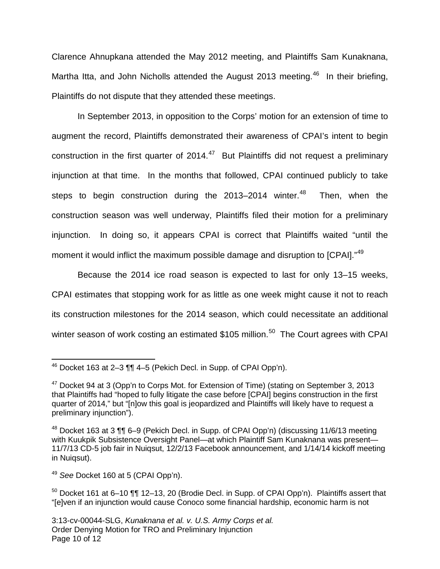Clarence Ahnupkana attended the May 2012 meeting, and Plaintiffs Sam Kunaknana, Martha Itta, and John Nicholls attended the August 2013 meeting.<sup>[46](#page-9-0)</sup> In their briefing, Plaintiffs do not dispute that they attended these meetings.

In September 2013, in opposition to the Corps' motion for an extension of time to augment the record, Plaintiffs demonstrated their awareness of CPAI's intent to begin construction in the first quarter of 2014. $47$  But Plaintiffs did not request a preliminary injunction at that time. In the months that followed, CPAI continued publicly to take steps to begin construction during the 2013–2014 winter.<sup>[48](#page-9-2)</sup> Then, when the construction season was well underway, Plaintiffs filed their motion for a preliminary injunction. In doing so, it appears CPAI is correct that Plaintiffs waited "until the moment it would inflict the maximum possible damage and disruption to [CPAI]."<sup>[49](#page-9-3)</sup>

Because the 2014 ice road season is expected to last for only 13–15 weeks, CPAI estimates that stopping work for as little as one week might cause it not to reach its construction milestones for the 2014 season, which could necessitate an additional winter season of work costing an estimated \$105 million.<sup>[50](#page-9-4)</sup> The Court agrees with CPAI

<span id="page-9-0"></span> $46$  Docket 163 at 2-3  $\P\P$  4-5 (Pekich Decl. in Supp. of CPAI Opp'n). 1

<span id="page-9-1"></span><sup>&</sup>lt;sup>47</sup> Docket 94 at 3 (Opp'n to Corps Mot. for Extension of Time) (stating on September 3, 2013 that Plaintiffs had "hoped to fully litigate the case before [CPAI] begins construction in the first quarter of 2014," but "[n]ow this goal is jeopardized and Plaintiffs will likely have to request a preliminary injunction").

<span id="page-9-2"></span><sup>48</sup> Docket 163 at 3 ¶¶ 6–9 (Pekich Decl. in Supp. of CPAI Opp'n) (discussing 11/6/13 meeting with Kuukpik Subsistence Oversight Panel—at which Plaintiff Sam Kunaknana was present— 11/7/13 CD-5 job fair in Nuiqsut, 12/2/13 Facebook announcement, and 1/14/14 kickoff meeting in Nuiqsut).

<span id="page-9-3"></span><sup>&</sup>lt;sup>49</sup> See Docket 160 at 5 (CPAI Opp'n).

<span id="page-9-4"></span> $50$  Docket 161 at 6–10  $\P\P$  12–13, 20 (Brodie Decl. in Supp. of CPAI Opp'n). Plaintiffs assert that "[e]ven if an injunction would cause Conoco some financial hardship, economic harm is not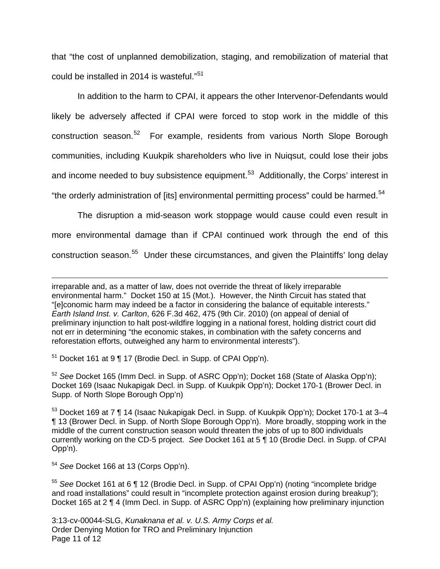that "the cost of unplanned demobilization, staging, and remobilization of material that could be installed in 2014 is wasteful."<sup>[51](#page-10-0)</sup>

In addition to the harm to CPAI, it appears the other Intervenor-Defendants would likely be adversely affected if CPAI were forced to stop work in the middle of this construction season.<sup>[52](#page-10-1)</sup> For example, residents from various North Slope Borough communities, including Kuukpik shareholders who live in Nuiqsut, could lose their jobs and income needed to buy subsistence equipment.<sup>[53](#page-10-2)</sup> Additionally, the Corps' interest in "the orderly administration of [its] environmental permitting process" could be harmed.<sup>[54](#page-10-3)</sup>

The disruption a mid-season work stoppage would cause could even result in more environmental damage than if CPAI continued work through the end of this construction season.<sup>[55](#page-10-4)</sup> Under these circumstances, and given the Plaintiffs' long delay

<span id="page-10-0"></span><sup>51</sup> Docket 161 at 9 ¶ 17 (Brodie Decl. in Supp. of CPAI Opp'n).

<span id="page-10-1"></span><sup>52</sup> See Docket 165 (Imm Decl. in Supp. of ASRC Opp'n); Docket 168 (State of Alaska Opp'n); Docket 169 (Isaac Nukapigak Decl. in Supp. of Kuukpik Opp'n); Docket 170-1 (Brower Decl. in Supp. of North Slope Borough Opp'n)

<span id="page-10-2"></span><sup>53</sup> Docket 169 at 7 ¶ 14 (Isaac Nukapigak Decl. in Supp. of Kuukpik Opp'n); Docket 170-1 at 3–4 ¶ 13 (Brower Decl. in Supp. of North Slope Borough Opp'n). More broadly, stopping work in the middle of the current construction season would threaten the jobs of up to 800 individuals currently working on the CD-5 project. See Docket 161 at 5 ¶ 10 (Brodie Decl. in Supp. of CPAI Opp'n).

<span id="page-10-3"></span><sup>54</sup> See Docket 166 at 13 (Corps Opp'n).

 $\overline{a}$ 

<span id="page-10-4"></span><sup>55</sup> See Docket 161 at 6 ¶ 12 (Brodie Decl. in Supp. of CPAI Opp'n) (noting "incomplete bridge and road installations" could result in "incomplete protection against erosion during breakup"); Docket 165 at 2 ¶ 4 (Imm Decl. in Supp. of ASRC Opp'n) (explaining how preliminary injunction

3:13-cv-00044-SLG, Kunaknana et al. v. U.S. Army Corps et al. Order Denying Motion for TRO and Preliminary Injunction Page 11 of 12

irreparable and, as a matter of law, does not override the threat of likely irreparable environmental harm." Docket 150 at 15 (Mot.). However, the Ninth Circuit has stated that "[e]conomic harm may indeed be a factor in considering the balance of equitable interests." Earth Island Inst. v. Carlton, 626 F.3d 462, 475 (9th Cir. 2010) (on appeal of denial of preliminary injunction to halt post-wildfire logging in a national forest, holding district court did not err in determining "the economic stakes, in combination with the safety concerns and reforestation efforts, outweighed any harm to environmental interests").